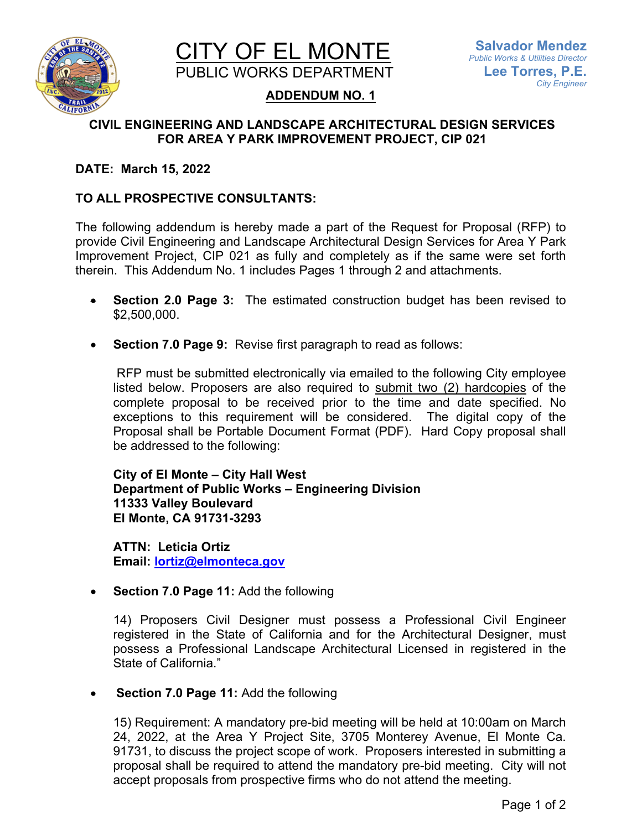



# **ADDENDUM NO. 1**

# **CIVIL ENGINEERING AND LANDSCAPE ARCHITECTURAL DESIGN SERVICES FOR AREA Y PARK IMPROVEMENT PROJECT, CIP 021**

### **DATE: March 15, 2022**

# **TO ALL PROSPECTIVE CONSULTANTS:**

The following addendum is hereby made a part of the Request for Proposal (RFP) to provide Civil Engineering and Landscape Architectural Design Services for Area Y Park Improvement Project, CIP 021 as fully and completely as if the same were set forth therein. This Addendum No. 1 includes Pages 1 through 2 and attachments.

- **Section 2.0 Page 3:** The estimated construction budget has been revised to \$2,500,000.
- **Section 7.0 Page 9:** Revise first paragraph to read as follows:

 RFP must be submitted electronically via emailed to the following City employee listed below. Proposers are also required to submit two (2) hardcopies of the complete proposal to be received prior to the time and date specified. No exceptions to this requirement will be considered. The digital copy of the Proposal shall be Portable Document Format (PDF). Hard Copy proposal shall be addressed to the following:

**City of El Monte – City Hall West Department of Public Works – Engineering Division 11333 Valley Boulevard El Monte, CA 91731-3293**

**ATTN: Leticia Ortiz Email: [lortiz@elmonteca.gov](mailto:lortiz@elmonteca.gov)**

**Section 7.0 Page 11:** Add the following

14) Proposers Civil Designer must possess a Professional Civil Engineer registered in the State of California and for the Architectural Designer, must possess a Professional Landscape Architectural Licensed in registered in the State of California."

**Section 7.0 Page 11:** Add the following

15) Requirement: A mandatory pre-bid meeting will be held at 10:00am on March 24, 2022, at the Area Y Project Site, 3705 Monterey Avenue, El Monte Ca. 91731, to discuss the project scope of work. Proposers interested in submitting a proposal shall be required to attend the mandatory pre-bid meeting. City will not accept proposals from prospective firms who do not attend the meeting.